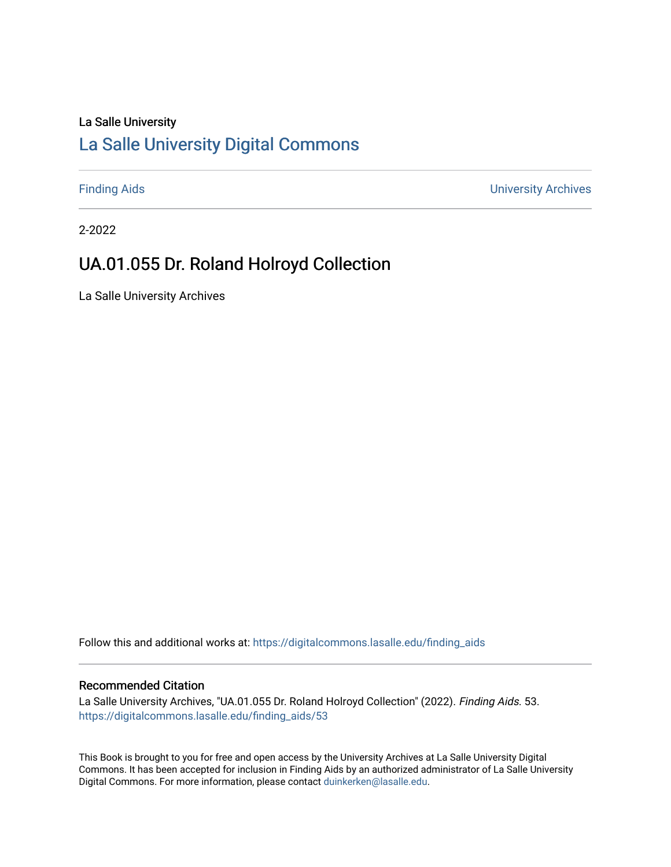# La Salle University

## [La Salle University Digital Commons](https://digitalcommons.lasalle.edu/)

[Finding Aids](https://digitalcommons.lasalle.edu/finding_aids) [University Archives](https://digitalcommons.lasalle.edu/universityarchives) 

2-2022

# UA.01.055 Dr. Roland Holroyd Collection

La Salle University Archives

Follow this and additional works at: [https://digitalcommons.lasalle.edu/finding\\_aids](https://digitalcommons.lasalle.edu/finding_aids?utm_source=digitalcommons.lasalle.edu%2Ffinding_aids%2F53&utm_medium=PDF&utm_campaign=PDFCoverPages) 

#### Recommended Citation

La Salle University Archives, "UA.01.055 Dr. Roland Holroyd Collection" (2022). Finding Aids. 53. [https://digitalcommons.lasalle.edu/finding\\_aids/53](https://digitalcommons.lasalle.edu/finding_aids/53?utm_source=digitalcommons.lasalle.edu%2Ffinding_aids%2F53&utm_medium=PDF&utm_campaign=PDFCoverPages) 

This Book is brought to you for free and open access by the University Archives at La Salle University Digital Commons. It has been accepted for inclusion in Finding Aids by an authorized administrator of La Salle University Digital Commons. For more information, please contact [duinkerken@lasalle.edu](mailto:duinkerken@lasalle.edu).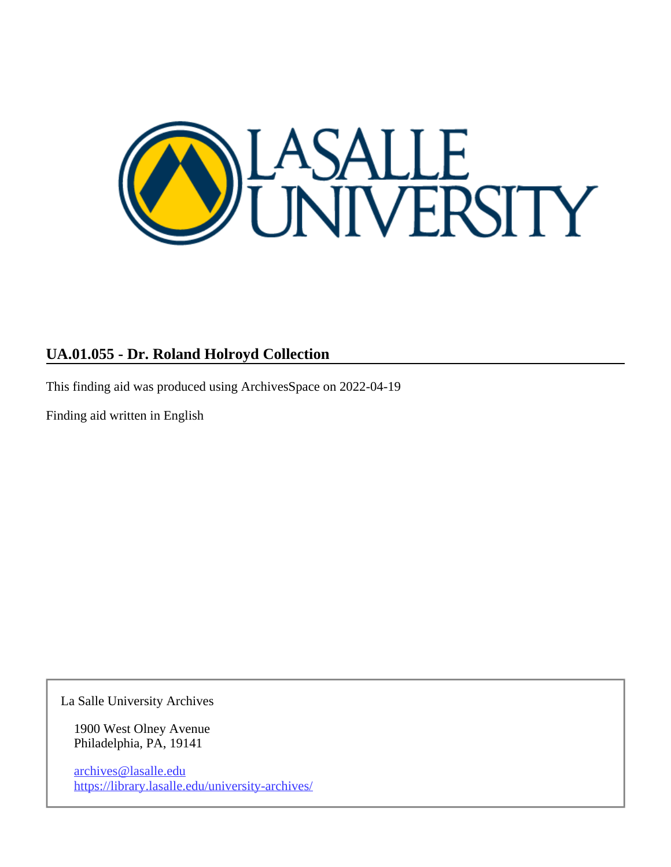

### **UA.01.055 - Dr. Roland Holroyd Collection**

This finding aid was produced using ArchivesSpace on 2022-04-19

Finding aid written in English

La Salle University Archives

1900 West Olney Avenue Philadelphia, PA, 19141

archives@lasalle.edu <https://library.lasalle.edu/university-archives/>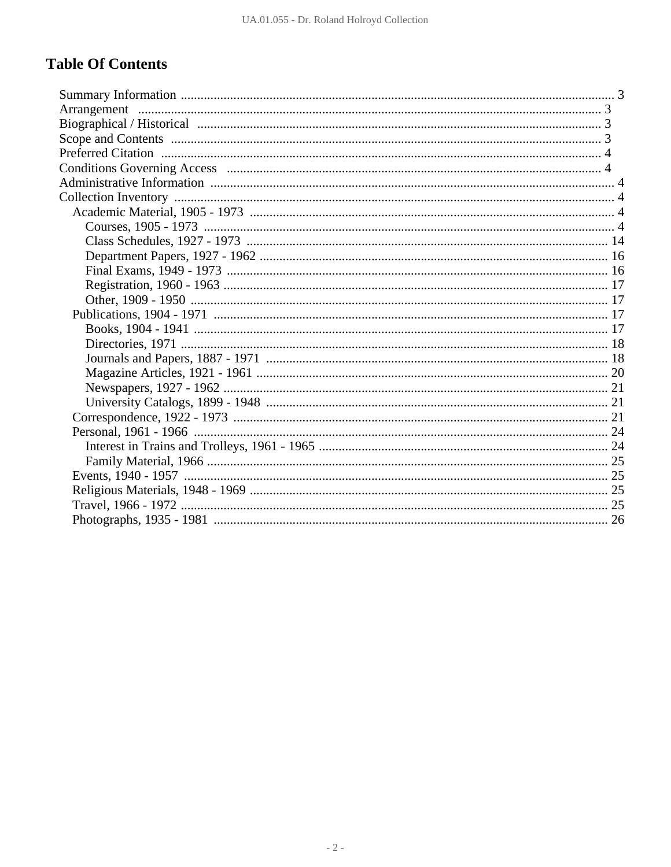### **Table Of Contents**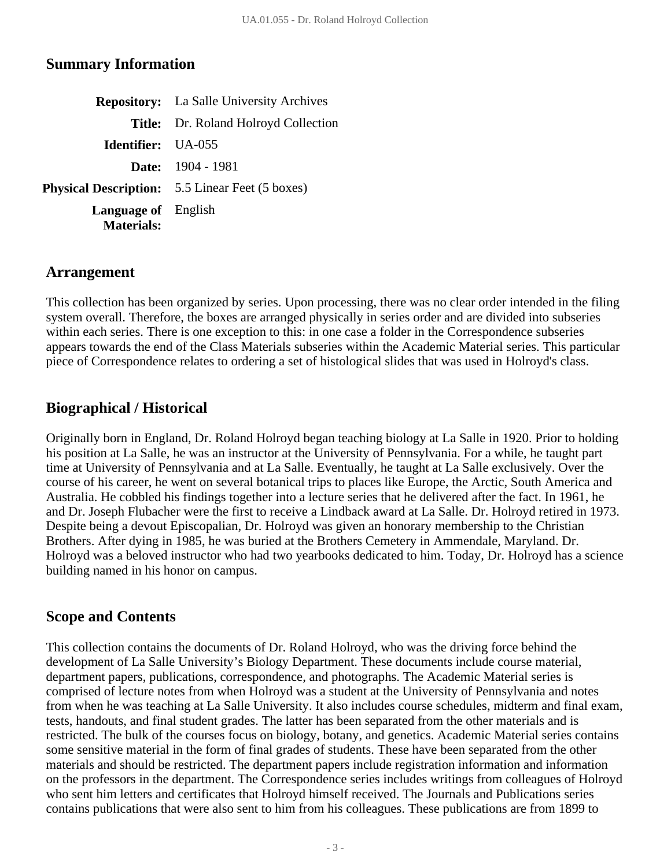#### <span id="page-3-0"></span>**Summary Information**

|                                                 | <b>Repository:</b> La Salle University Archives        |
|-------------------------------------------------|--------------------------------------------------------|
|                                                 | <b>Title:</b> Dr. Roland Holroyd Collection            |
| <b>Identifier:</b> UA-055                       |                                                        |
|                                                 | <b>Date:</b> $1904 - 1981$                             |
|                                                 | <b>Physical Description:</b> 5.5 Linear Feet (5 boxes) |
| <b>Language of</b> English<br><b>Materials:</b> |                                                        |

#### <span id="page-3-1"></span>**Arrangement**

This collection has been organized by series. Upon processing, there was no clear order intended in the filing system overall. Therefore, the boxes are arranged physically in series order and are divided into subseries within each series. There is one exception to this: in one case a folder in the Correspondence subseries appears towards the end of the Class Materials subseries within the Academic Material series. This particular piece of Correspondence relates to ordering a set of histological slides that was used in Holroyd's class.

### <span id="page-3-2"></span>**Biographical / Historical**

Originally born in England, Dr. Roland Holroyd began teaching biology at La Salle in 1920. Prior to holding his position at La Salle, he was an instructor at the University of Pennsylvania. For a while, he taught part time at University of Pennsylvania and at La Salle. Eventually, he taught at La Salle exclusively. Over the course of his career, he went on several botanical trips to places like Europe, the Arctic, South America and Australia. He cobbled his findings together into a lecture series that he delivered after the fact. In 1961, he and Dr. Joseph Flubacher were the first to receive a Lindback award at La Salle. Dr. Holroyd retired in 1973. Despite being a devout Episcopalian, Dr. Holroyd was given an honorary membership to the Christian Brothers. After dying in 1985, he was buried at the Brothers Cemetery in Ammendale, Maryland. Dr. Holroyd was a beloved instructor who had two yearbooks dedicated to him. Today, Dr. Holroyd has a science building named in his honor on campus.

#### <span id="page-3-3"></span>**Scope and Contents**

This collection contains the documents of Dr. Roland Holroyd, who was the driving force behind the development of La Salle University's Biology Department. These documents include course material, department papers, publications, correspondence, and photographs. The Academic Material series is comprised of lecture notes from when Holroyd was a student at the University of Pennsylvania and notes from when he was teaching at La Salle University. It also includes course schedules, midterm and final exam, tests, handouts, and final student grades. The latter has been separated from the other materials and is restricted. The bulk of the courses focus on biology, botany, and genetics. Academic Material series contains some sensitive material in the form of final grades of students. These have been separated from the other materials and should be restricted. The department papers include registration information and information on the professors in the department. The Correspondence series includes writings from colleagues of Holroyd who sent him letters and certificates that Holroyd himself received. The Journals and Publications series contains publications that were also sent to him from his colleagues. These publications are from 1899 to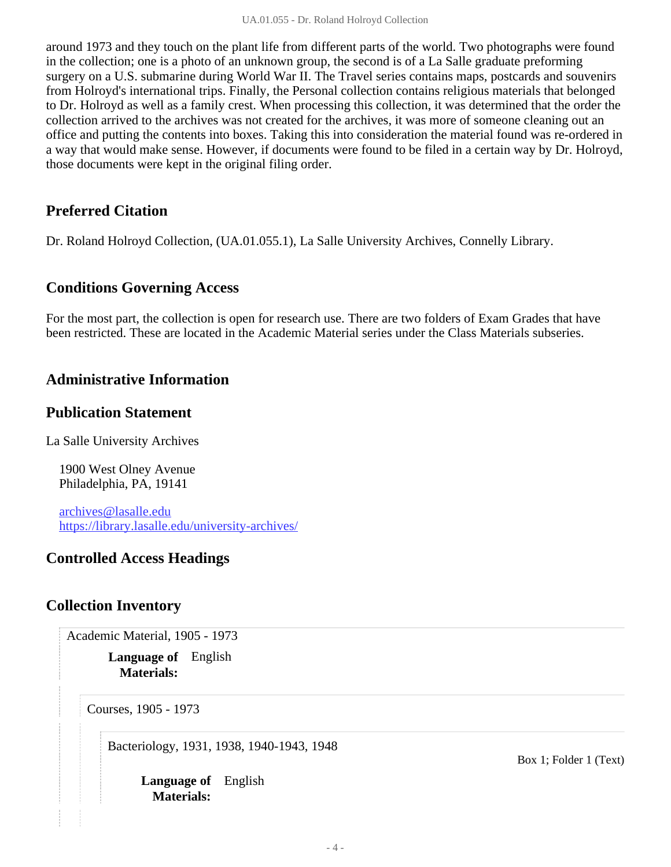around 1973 and they touch on the plant life from different parts of the world. Two photographs were found in the collection; one is a photo of an unknown group, the second is of a La Salle graduate preforming surgery on a U.S. submarine during World War II. The Travel series contains maps, postcards and souvenirs from Holroyd's international trips. Finally, the Personal collection contains religious materials that belonged to Dr. Holroyd as well as a family crest. When processing this collection, it was determined that the order the collection arrived to the archives was not created for the archives, it was more of someone cleaning out an office and putting the contents into boxes. Taking this into consideration the material found was re-ordered in a way that would make sense. However, if documents were found to be filed in a certain way by Dr. Holroyd, those documents were kept in the original filing order.

#### <span id="page-4-0"></span>**Preferred Citation**

Dr. Roland Holroyd Collection, (UA.01.055.1), La Salle University Archives, Connelly Library.

#### <span id="page-4-1"></span>**Conditions Governing Access**

For the most part, the collection is open for research use. There are two folders of Exam Grades that have been restricted. These are located in the Academic Material series under the Class Materials subseries.

#### <span id="page-4-2"></span>**Administrative Information**

#### **Publication Statement**

La Salle University Archives

1900 West Olney Avenue Philadelphia, PA, 19141

archives@lasalle.edu <https://library.lasalle.edu/university-archives/>

#### **Controlled Access Headings**

#### <span id="page-4-4"></span><span id="page-4-3"></span>**Collection Inventory**

Academic Material, 1905 - 1973

**Language of** English **Materials:**

<span id="page-4-5"></span>Courses, 1905 - 1973

Bacteriology, 1931, 1938, 1940-1943, 1948

**Language of** English **Materials:**

Box 1; Folder 1 (Text)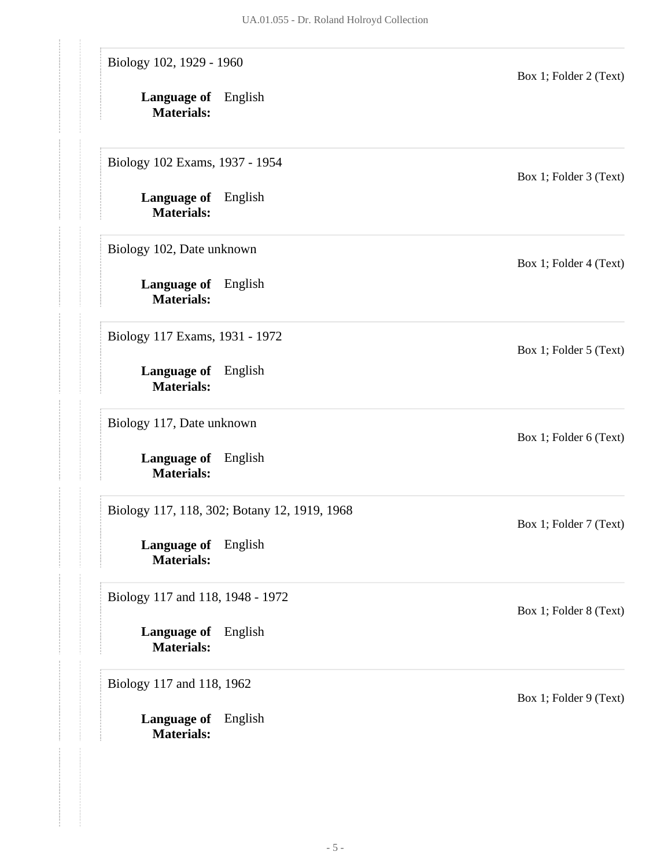| Biology 102, 1929 - 1960<br><b>Language of</b> English<br><b>Materials:</b> |                                              | Box 1; Folder 2 (Text) |
|-----------------------------------------------------------------------------|----------------------------------------------|------------------------|
| Biology 102 Exams, 1937 - 1954                                              |                                              | Box 1; Folder 3 (Text) |
| <b>Language of</b> English<br><b>Materials:</b>                             |                                              |                        |
| Biology 102, Date unknown                                                   |                                              | Box 1; Folder 4 (Text) |
| <b>Language of</b> English<br><b>Materials:</b>                             |                                              |                        |
| Biology 117 Exams, 1931 - 1972                                              |                                              | Box 1; Folder 5 (Text) |
| Language of English<br><b>Materials:</b>                                    |                                              |                        |
| Biology 117, Date unknown                                                   |                                              | Box 1; Folder 6 (Text) |
| <b>Language of</b> English<br><b>Materials:</b>                             |                                              |                        |
|                                                                             | Biology 117, 118, 302; Botany 12, 1919, 1968 | Box 1; Folder 7 (Text) |
| <b>Language of</b> English<br><b>Materials:</b>                             |                                              |                        |
| Biology 117 and 118, 1948 - 1972                                            |                                              | Box 1; Folder 8 (Text) |
| Language of English<br><b>Materials:</b>                                    |                                              |                        |
| Biology 117 and 118, 1962                                                   |                                              | Box 1; Folder 9 (Text) |
| <b>Language of</b> English<br><b>Materials:</b>                             |                                              |                        |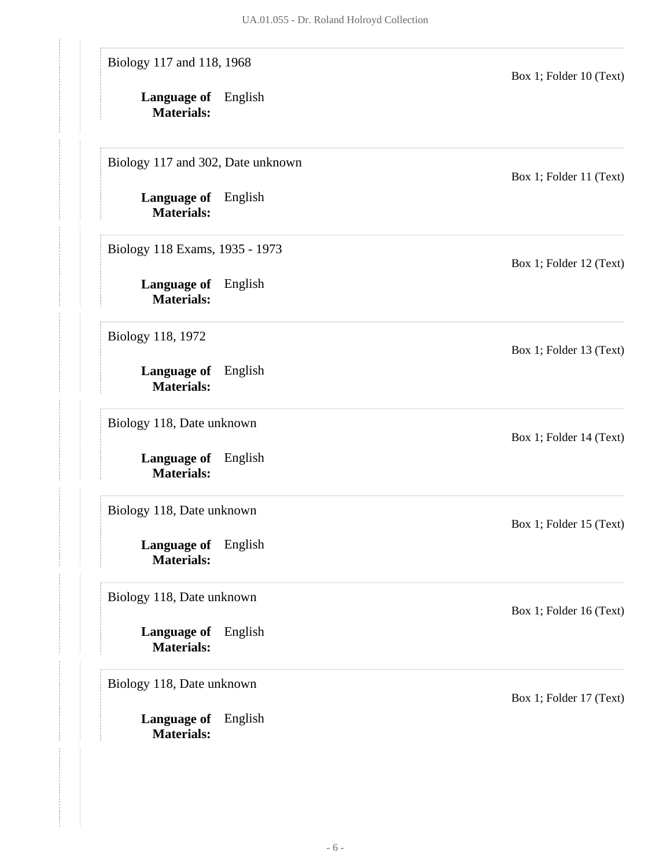| Biology 117 and 118, 1968                       |         | Box 1; Folder 10 (Text) |
|-------------------------------------------------|---------|-------------------------|
| <b>Language of</b> English<br><b>Materials:</b> |         |                         |
| Biology 117 and 302, Date unknown               |         | Box 1; Folder 11 (Text) |
| <b>Language of</b> English<br><b>Materials:</b> |         |                         |
| Biology 118 Exams, 1935 - 1973                  |         | Box 1; Folder 12 (Text) |
| Language of English<br><b>Materials:</b>        |         |                         |
| Biology 118, 1972                               |         | Box 1; Folder 13 (Text) |
| <b>Language of</b> English<br><b>Materials:</b> |         |                         |
| Biology 118, Date unknown                       |         | Box 1; Folder 14 (Text) |
| <b>Language of</b> English<br><b>Materials:</b> |         |                         |
| Biology 118, Date unknown                       |         | Box 1; Folder 15 (Text) |
| Language of English<br><b>Materials:</b>        |         |                         |
| Biology 118, Date unknown                       |         | Box 1; Folder 16 (Text) |
| Language of<br><b>Materials:</b>                | English |                         |
| Biology 118, Date unknown                       |         | Box 1; Folder 17 (Text) |
| Language of<br><b>Materials:</b>                | English |                         |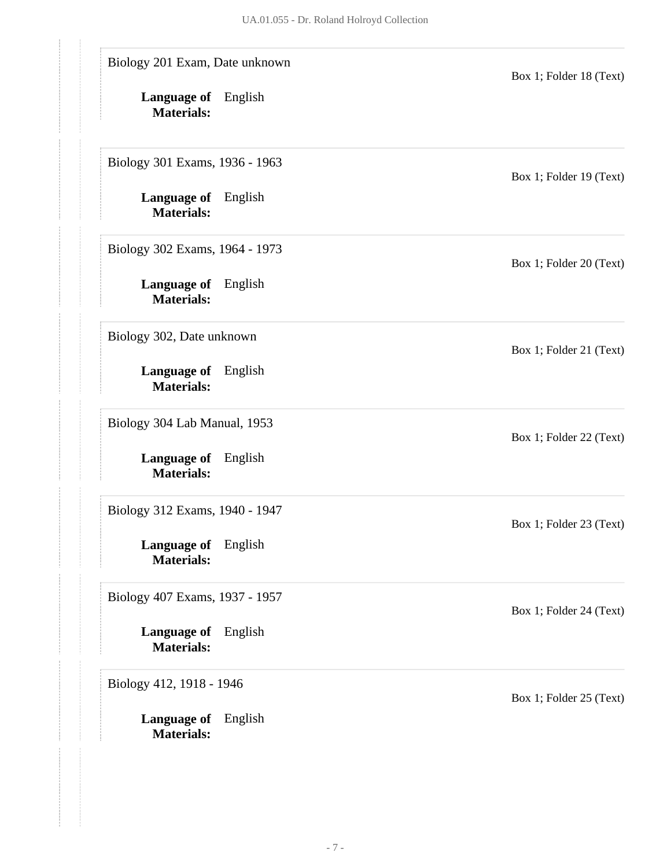| Biology 201 Exam, Date unknown                  |         | Box 1; Folder 18 (Text) |
|-------------------------------------------------|---------|-------------------------|
| <b>Language of</b> English<br><b>Materials:</b> |         |                         |
| Biology 301 Exams, 1936 - 1963                  |         | Box 1; Folder 19 (Text) |
| <b>Language of</b> English<br><b>Materials:</b> |         |                         |
| Biology 302 Exams, 1964 - 1973                  |         | Box 1; Folder 20 (Text) |
| <b>Language of</b> English<br><b>Materials:</b> |         |                         |
| Biology 302, Date unknown                       |         | Box 1; Folder 21 (Text) |
| <b>Language of</b> English<br><b>Materials:</b> |         |                         |
| Biology 304 Lab Manual, 1953                    |         | Box 1; Folder 22 (Text) |
| <b>Language of</b> English<br><b>Materials:</b> |         |                         |
| Biology 312 Exams, 1940 - 1947                  |         | Box 1; Folder 23 (Text) |
| Language of English<br><b>Materials:</b>        |         |                         |
| Biology 407 Exams, 1937 - 1957                  |         | Box 1; Folder 24 (Text) |
| <b>Language of</b><br><b>Materials:</b>         | English |                         |
| Biology 412, 1918 - 1946                        |         | Box 1; Folder 25 (Text) |
| Language of<br><b>Materials:</b>                | English |                         |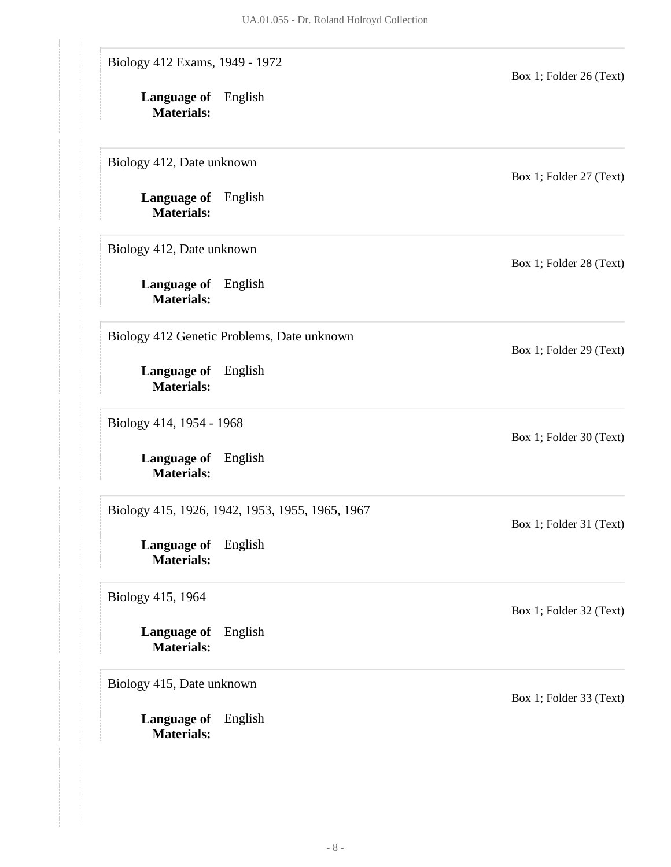| Biology 412 Exams, 1949 - 1972                  |                                                 | Box 1; Folder 26 (Text) |
|-------------------------------------------------|-------------------------------------------------|-------------------------|
| <b>Language of</b> English<br><b>Materials:</b> |                                                 |                         |
| Biology 412, Date unknown                       |                                                 | Box 1; Folder 27 (Text) |
| <b>Language of</b> English<br><b>Materials:</b> |                                                 |                         |
| Biology 412, Date unknown                       |                                                 | Box 1; Folder 28 (Text) |
| <b>Language of</b> English<br><b>Materials:</b> |                                                 |                         |
|                                                 | Biology 412 Genetic Problems, Date unknown      | Box 1; Folder 29 (Text) |
| <b>Language of</b> English<br><b>Materials:</b> |                                                 |                         |
| Biology 414, 1954 - 1968                        |                                                 | Box 1; Folder 30 (Text) |
| Language of English<br><b>Materials:</b>        |                                                 |                         |
|                                                 | Biology 415, 1926, 1942, 1953, 1955, 1965, 1967 | Box 1; Folder 31 (Text) |
| <b>Language of</b> English<br><b>Materials:</b> |                                                 |                         |
| Biology 415, 1964                               |                                                 | Box 1; Folder 32 (Text) |
| Language of<br><b>Materials:</b>                | English                                         |                         |
| Biology 415, Date unknown                       |                                                 | Box 1; Folder 33 (Text) |
| <b>Language of</b><br><b>Materials:</b>         | English                                         |                         |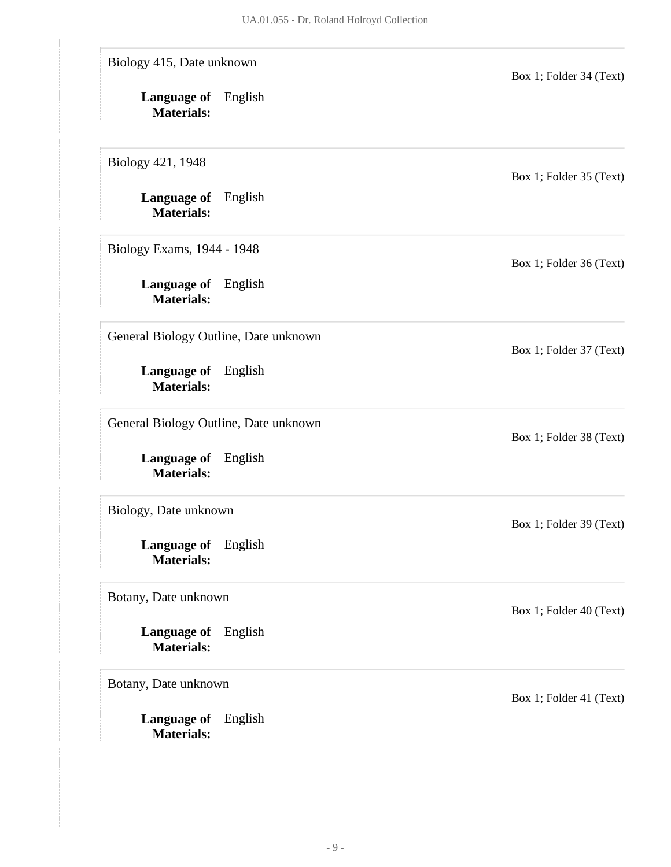| Biology 415, Date unknown                       | Box 1; Folder 34 (Text) |
|-------------------------------------------------|-------------------------|
| <b>Language of</b> English<br><b>Materials:</b> |                         |
| Biology 421, 1948                               | Box 1; Folder 35 (Text) |
| Language of English<br><b>Materials:</b>        |                         |
| Biology Exams, 1944 - 1948                      | Box 1; Folder 36 (Text) |
| Language of English<br><b>Materials:</b>        |                         |
| General Biology Outline, Date unknown           | Box 1; Folder 37 (Text) |
| <b>Language of</b> English<br><b>Materials:</b> |                         |
| General Biology Outline, Date unknown           | Box 1; Folder 38 (Text) |
| <b>Language of</b> English<br><b>Materials:</b> |                         |
| Biology, Date unknown                           | Box 1; Folder 39 (Text) |
| Language of English<br><b>Materials:</b>        |                         |
| Botany, Date unknown                            | Box 1; Folder 40 (Text) |
| <b>Language of</b> English<br><b>Materials:</b> |                         |
| Botany, Date unknown                            | Box 1; Folder 41 (Text) |
| <b>Language of</b> English<br><b>Materials:</b> |                         |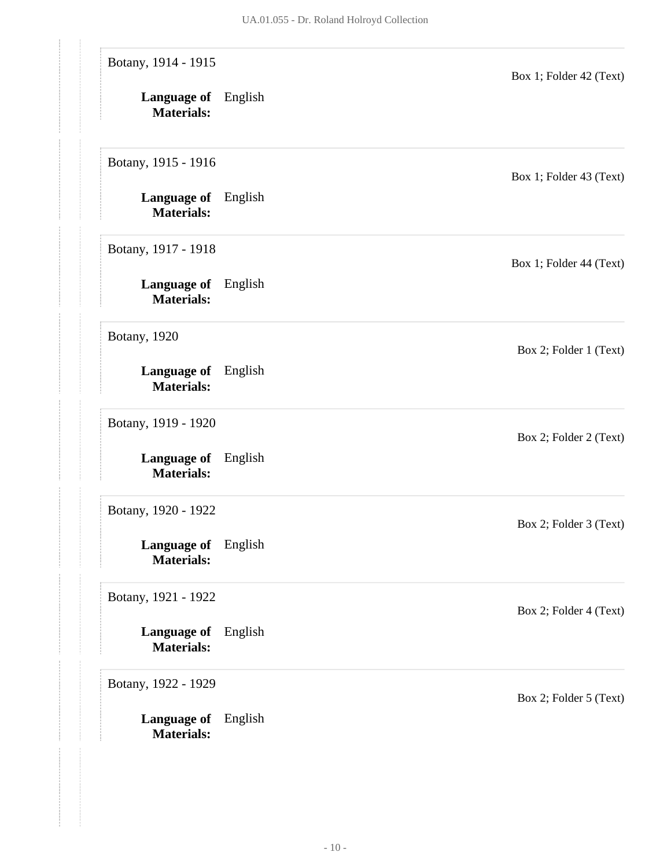| Botany, 1914 - 1915<br>Language of English<br><b>Materials:</b> |         | Box 1; Folder 42 (Text) |
|-----------------------------------------------------------------|---------|-------------------------|
| Botany, 1915 - 1916                                             |         | Box 1; Folder 43 (Text) |
| <b>Language of</b> English<br><b>Materials:</b>                 |         |                         |
| Botany, 1917 - 1918                                             |         | Box 1; Folder 44 (Text) |
| <b>Language of</b> English<br><b>Materials:</b>                 |         |                         |
| <b>Botany</b> , 1920                                            |         | Box 2; Folder 1 (Text)  |
| Language of English<br><b>Materials:</b>                        |         |                         |
| Botany, 1919 - 1920                                             |         | Box 2; Folder 2 (Text)  |
| <b>Language of</b><br><b>Materials:</b>                         | English |                         |
| Botany, 1920 - 1922                                             |         | Box 2; Folder 3 (Text)  |
| Language of English<br><b>Materials:</b>                        |         |                         |
| Botany, 1921 - 1922                                             |         | Box 2; Folder 4 (Text)  |
| <b>Language of</b> English<br><b>Materials:</b>                 |         |                         |
| Botany, 1922 - 1929                                             |         | Box 2; Folder 5 (Text)  |
| Language of English<br><b>Materials:</b>                        |         |                         |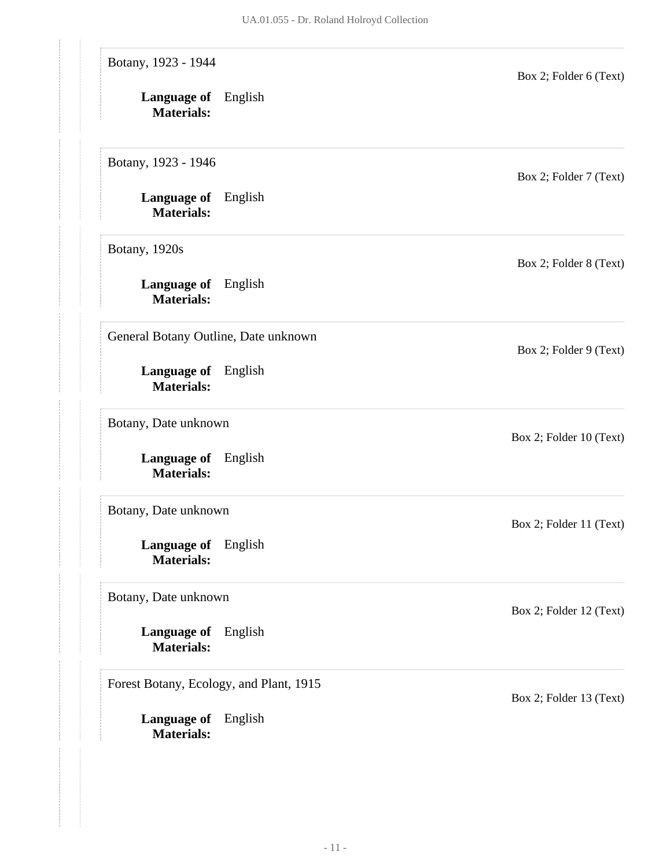| Botany, 1923 - 1944<br><b>Language of</b> English<br><b>Materials:</b> | Box 2; Folder 6 (Text)  |
|------------------------------------------------------------------------|-------------------------|
| Botany, 1923 - 1946                                                    | Box 2; Folder 7 (Text)  |
| <b>Language of</b> English<br><b>Materials:</b>                        |                         |
| Botany, 1920s                                                          | Box 2; Folder 8 (Text)  |
| <b>Language of</b> English<br><b>Materials:</b>                        |                         |
| General Botany Outline, Date unknown                                   | Box 2; Folder 9 (Text)  |
| Language of English<br><b>Materials:</b>                               |                         |
| Botany, Date unknown                                                   | Box 2; Folder 10 (Text) |
| Language of English<br><b>Materials:</b>                               |                         |
| Botany, Date unknown                                                   | Box 2; Folder 11 (Text) |
| Language of English<br><b>Materials:</b>                               |                         |
| Botany, Date unknown                                                   | Box 2; Folder 12 (Text) |
| <b>Language of</b> English<br><b>Materials:</b>                        |                         |
| Forest Botany, Ecology, and Plant, 1915                                | Box 2; Folder 13 (Text) |
| Language of English<br><b>Materials:</b>                               |                         |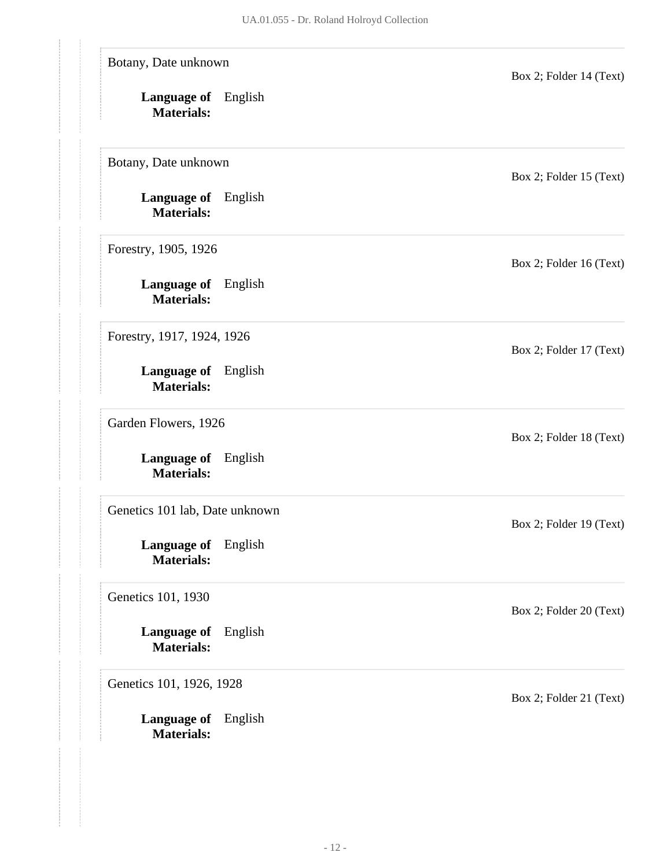| Botany, Date unknown<br><b>Language of</b> English<br><b>Materials:</b> |         | Box 2; Folder 14 (Text) |
|-------------------------------------------------------------------------|---------|-------------------------|
| Botany, Date unknown                                                    |         | Box 2; Folder 15 (Text) |
| <b>Language of</b> English<br><b>Materials:</b>                         |         |                         |
| Forestry, 1905, 1926                                                    |         | Box 2; Folder 16 (Text) |
| <b>Language of</b> English<br><b>Materials:</b>                         |         |                         |
| Forestry, 1917, 1924, 1926                                              |         | Box 2; Folder 17 (Text) |
| Language of English<br><b>Materials:</b>                                |         |                         |
| Garden Flowers, 1926                                                    |         | Box 2; Folder 18 (Text) |
| <b>Language of</b> English<br><b>Materials:</b>                         |         |                         |
| Genetics 101 lab, Date unknown                                          |         | Box 2; Folder 19 (Text) |
| Language of English<br><b>Materials:</b>                                |         |                         |
| Genetics 101, 1930                                                      |         | Box 2; Folder 20 (Text) |
| <b>Language of</b><br><b>Materials:</b>                                 | English |                         |
| Genetics 101, 1926, 1928                                                |         | Box 2; Folder 21 (Text) |
| <b>Language of</b> English<br><b>Materials:</b>                         |         |                         |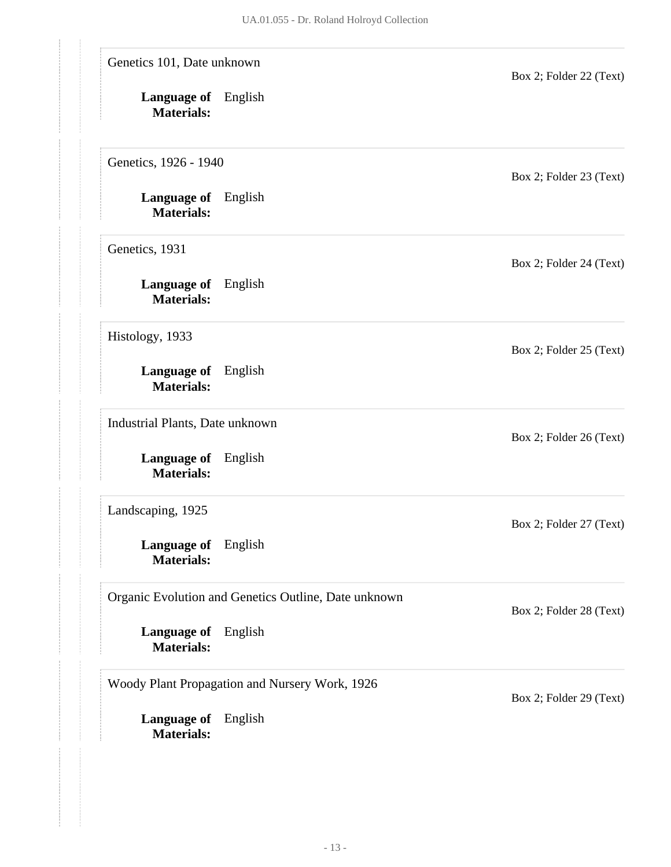| Genetics 101, Date unknown                      |                                                      | Box 2; Folder 22 (Text) |
|-------------------------------------------------|------------------------------------------------------|-------------------------|
| <b>Language of</b> English<br><b>Materials:</b> |                                                      |                         |
| Genetics, 1926 - 1940                           |                                                      | Box 2; Folder 23 (Text) |
| <b>Language of</b> English<br><b>Materials:</b> |                                                      |                         |
| Genetics, 1931                                  |                                                      | Box 2; Folder 24 (Text) |
| <b>Language of</b> English<br><b>Materials:</b> |                                                      |                         |
| Histology, 1933                                 |                                                      | Box 2; Folder 25 (Text) |
| Language of English<br><b>Materials:</b>        |                                                      |                         |
| Industrial Plants, Date unknown                 |                                                      | Box 2; Folder 26 (Text) |
| Language of English<br><b>Materials:</b>        |                                                      |                         |
| Landscaping, 1925                               |                                                      | Box 2; Folder 27 (Text) |
| <b>Language of</b> English<br><b>Materials:</b> |                                                      |                         |
|                                                 | Organic Evolution and Genetics Outline, Date unknown | Box 2; Folder 28 (Text) |
| Language of<br><b>Materials:</b>                | English                                              |                         |
|                                                 | Woody Plant Propagation and Nursery Work, 1926       | Box 2; Folder 29 (Text) |
| Language of<br><b>Materials:</b>                | English                                              |                         |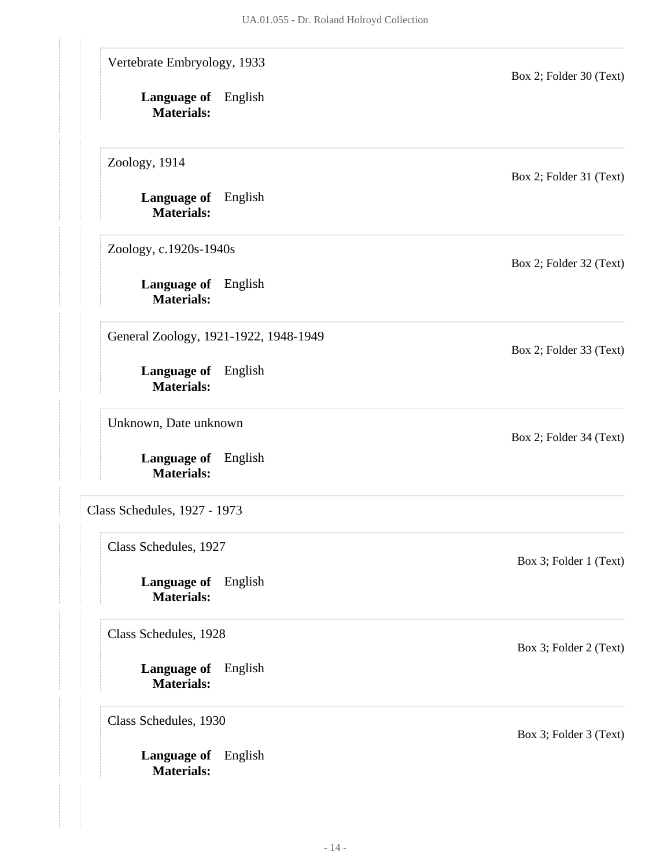<span id="page-14-0"></span>

| Vertebrate Embryology, 1933                        | Box 2; Folder 30 (Text) |
|----------------------------------------------------|-------------------------|
| Language of English<br><b>Materials:</b>           |                         |
| Zoology, 1914                                      | Box 2; Folder 31 (Text) |
| <b>Language of</b> English<br><b>Materials:</b>    |                         |
| Zoology, c.1920s-1940s                             | Box 2; Folder 32 (Text) |
| Language of English<br><b>Materials:</b>           |                         |
| General Zoology, 1921-1922, 1948-1949              | Box 2; Folder 33 (Text) |
| <b>Language of</b> English<br><b>Materials:</b>    |                         |
| Unknown, Date unknown                              | Box 2; Folder 34 (Text) |
| <b>Language of</b> English<br><b>Materials:</b>    |                         |
| Class Schedules, 1927 - 1973                       |                         |
| Class Schedules, 1927                              | Box 3; Folder 1 (Text)  |
| Language of<br>English<br><b>Materials:</b>        |                         |
| Class Schedules, 1928                              | Box 3; Folder 2 (Text)  |
| English<br><b>Language of</b><br><b>Materials:</b> |                         |
| Class Schedules, 1930                              | Box 3; Folder 3 (Text)  |
| Language of English<br><b>Materials:</b>           |                         |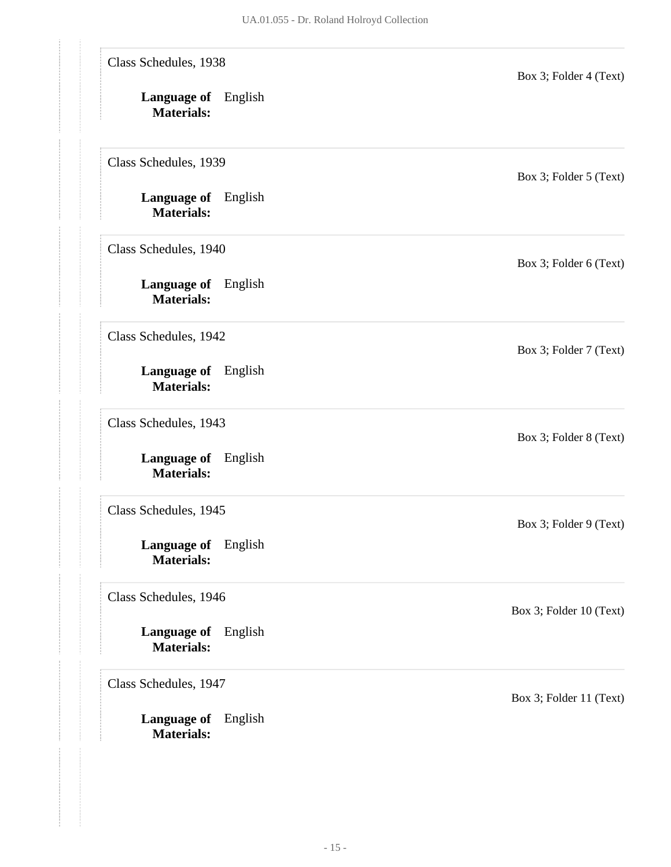| Class Schedules, 1938<br><b>Language of</b> English<br><b>Materials:</b> | Box 3; Folder 4 (Text)  |
|--------------------------------------------------------------------------|-------------------------|
| Class Schedules, 1939                                                    | Box 3; Folder 5 (Text)  |
| <b>Language of</b> English<br><b>Materials:</b>                          |                         |
| Class Schedules, 1940                                                    | Box 3; Folder 6 (Text)  |
| <b>Language of</b> English<br><b>Materials:</b>                          |                         |
| Class Schedules, 1942                                                    | Box 3; Folder 7 (Text)  |
| Language of English<br><b>Materials:</b>                                 |                         |
| Class Schedules, 1943                                                    | Box 3; Folder 8 (Text)  |
| Language of English<br><b>Materials:</b>                                 |                         |
| Class Schedules, 1945                                                    | Box 3; Folder 9 (Text)  |
| Language of English<br><b>Materials:</b>                                 |                         |
| Class Schedules, 1946                                                    | Box 3; Folder 10 (Text) |
| <b>Language of</b> English<br><b>Materials:</b>                          |                         |
| Class Schedules, 1947                                                    | Box 3; Folder 11 (Text) |
| <b>Language of</b> English<br><b>Materials:</b>                          |                         |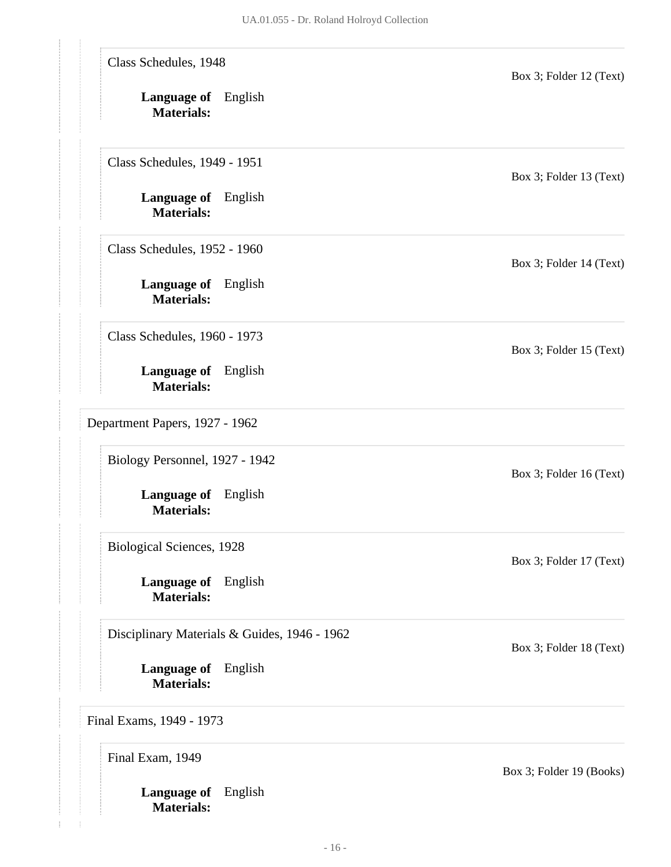<span id="page-16-0"></span>**Language of** English **Language of** English **Materials: Language of** English **Materials: Language of** English **Materials: Language of** English **Materials: Language of** English **Materials: Language of** English **Materials: Language of** English **Materials:** Class Schedules, 1948 Box 3; Folder 12 (Text) Class Schedules, 1949 - 1951 Box 3; Folder 13 (Text) Class Schedules, 1952 - 1960 Box 3; Folder 14 (Text) Class Schedules, 1960 - 1973 Box 3; Folder 15 (Text) Department Papers, 1927 - 1962 Biology Personnel, 1927 - 1942 Box 3; Folder 16 (Text) Biological Sciences, 1928 Box 3; Folder 17 (Text) Disciplinary Materials & Guides, 1946 - 1962 Box 3; Folder 18 (Text) Final Exams, 1949 - 1973 Final Exam, 1949 Box 3; Folder 19 (Books)

<span id="page-16-1"></span>**Materials:**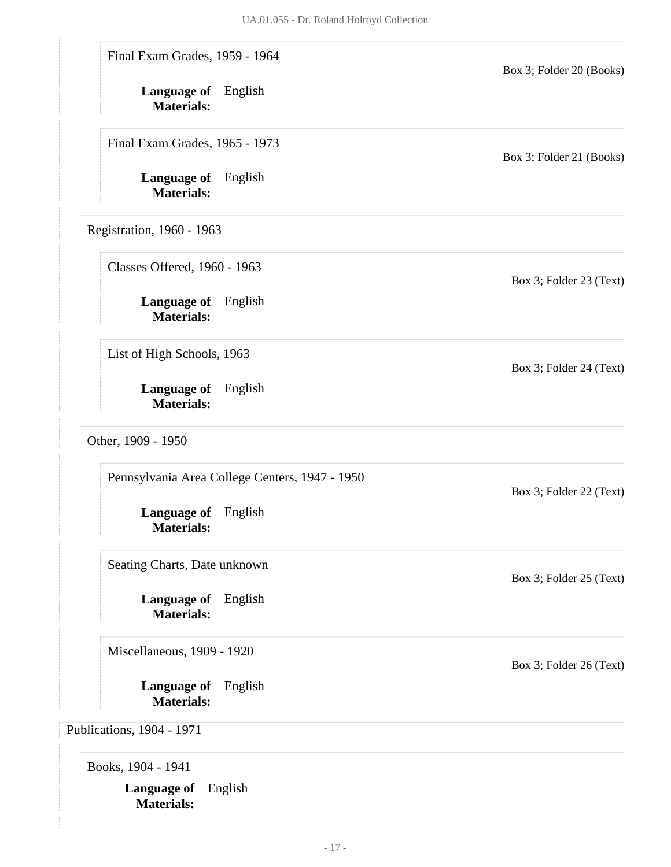<span id="page-17-0"></span>

| Final Exam Grades, 1959 - 1964                  |                                                | Box 3; Folder 20 (Books)                                                      |
|-------------------------------------------------|------------------------------------------------|-------------------------------------------------------------------------------|
| Language of English<br><b>Materials:</b>        |                                                |                                                                               |
| Final Exam Grades, 1965 - 1973                  |                                                | Box 3; Folder 21 (Books)                                                      |
| Language of English<br><b>Materials:</b>        |                                                |                                                                               |
| Registration, 1960 - 1963                       |                                                |                                                                               |
| Classes Offered, 1960 - 1963                    |                                                | Box 3; Folder 23 (Text)                                                       |
| <b>Language of</b> English<br><b>Materials:</b> |                                                |                                                                               |
| List of High Schools, 1963                      |                                                | Box 3; Folder 24 (Text)                                                       |
| <b>Language of</b> English<br><b>Materials:</b> |                                                |                                                                               |
|                                                 |                                                |                                                                               |
| Other, 1909 - 1950                              |                                                |                                                                               |
|                                                 | Pennsylvania Area College Centers, 1947 - 1950 |                                                                               |
| Language of English<br><b>Materials:</b>        |                                                |                                                                               |
| Seating Charts, Date unknown                    |                                                |                                                                               |
| <b>Language of</b> English<br><b>Materials:</b> |                                                |                                                                               |
| Miscellaneous, 1909 - 1920                      |                                                |                                                                               |
| <b>Language of</b><br><b>Materials:</b>         | English                                        | Box 3; Folder 22 (Text)<br>Box 3; Folder 25 (Text)<br>Box 3; Folder 26 (Text) |

<span id="page-17-3"></span><span id="page-17-2"></span><span id="page-17-1"></span>**Language of** English **Materials:**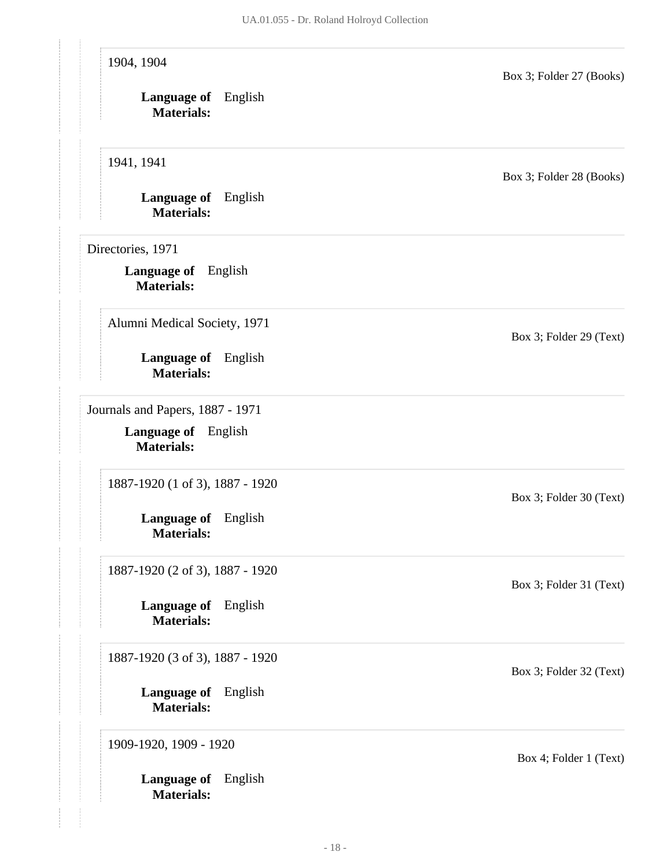#### 1904, 1904

Box 3; Folder 27 (Books)

**Language of** English **Materials:**

1941, 1941

**Language of** English **Materials:**

<span id="page-18-0"></span>Directories, 1971

**Language of** English **Materials:**

Alumni Medical Society, 1971

**Language of** English **Materials:**

<span id="page-18-1"></span>Journals and Papers, 1887 - 1971

**Language of** English **Materials:**

1887-1920 (1 of 3), 1887 - 1920

**Language of** English **Materials:**

1887-1920 (2 of 3), 1887 - 1920

**Language of** English **Materials:**

1887-1920 (3 of 3), 1887 - 1920

**Language of** English **Materials:**

1909-1920, 1909 - 1920

**Language of** English **Materials:**

Box 3; Folder 28 (Books)

Box 3; Folder 29 (Text)

Box 3; Folder 30 (Text)

Box 3; Folder 31 (Text)

Box 3; Folder 32 (Text)

Box 4; Folder 1 (Text)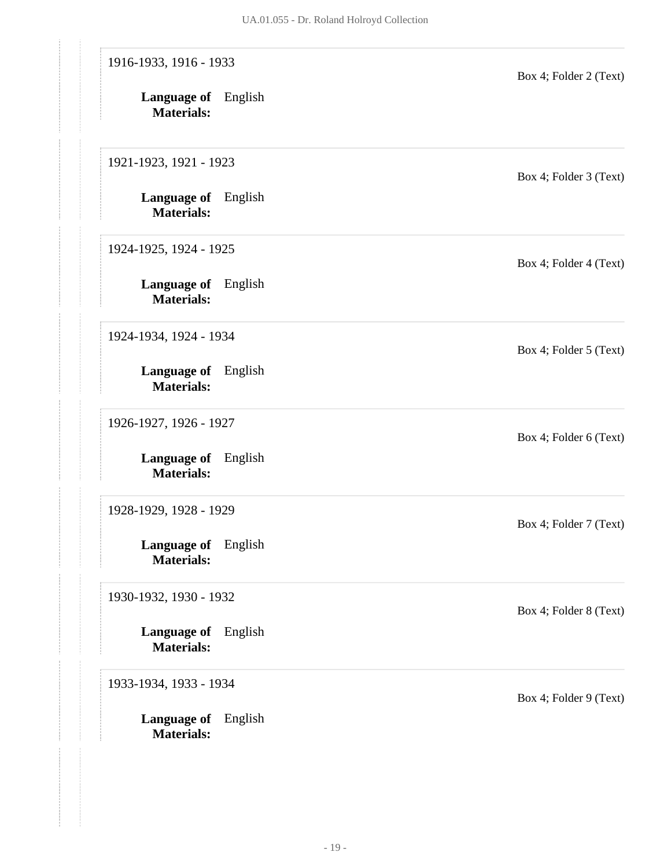| 1916-1933, 1916 - 1933<br>Language of English<br><b>Materials:</b> | Box 4; Folder 2 (Text) |
|--------------------------------------------------------------------|------------------------|
| 1921-1923, 1921 - 1923                                             | Box 4; Folder 3 (Text) |
| Language of English<br><b>Materials:</b>                           |                        |
| 1924-1925, 1924 - 1925                                             | Box 4; Folder 4 (Text) |
| <b>Language of</b> English<br><b>Materials:</b>                    |                        |
| 1924-1934, 1924 - 1934                                             | Box 4; Folder 5 (Text) |
| <b>Language of</b> English<br><b>Materials:</b>                    |                        |
| 1926-1927, 1926 - 1927                                             | Box 4; Folder 6 (Text) |
| Language of English<br><b>Materials:</b>                           |                        |
| 1928-1929, 1928 - 1929                                             | Box 4; Folder 7 (Text) |
| Language of English<br><b>Materials:</b>                           |                        |
| 1930-1932, 1930 - 1932                                             | Box 4; Folder 8 (Text) |
| Language of English<br><b>Materials:</b>                           |                        |
| 1933-1934, 1933 - 1934                                             | Box 4; Folder 9 (Text) |
| <b>Language of</b> English<br><b>Materials:</b>                    |                        |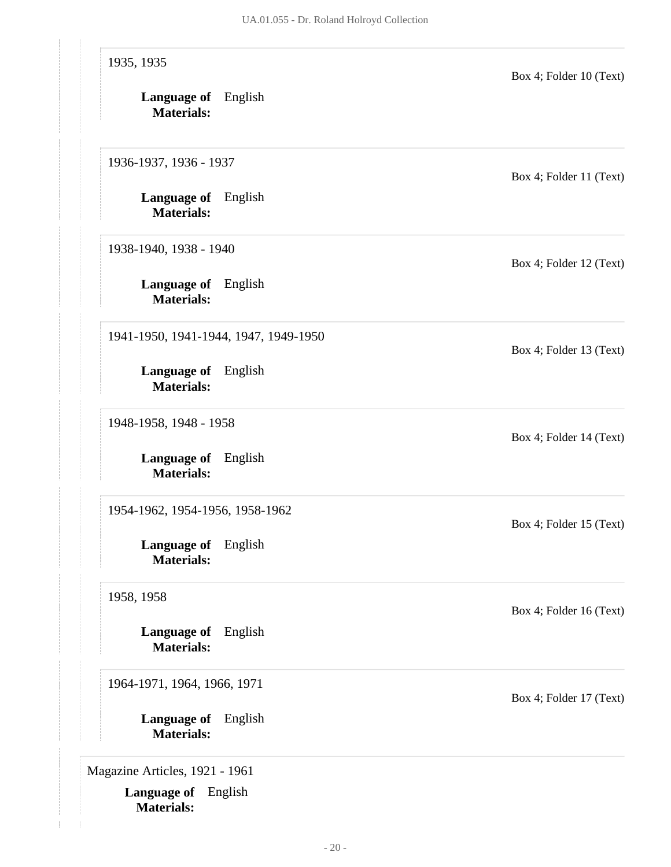| 1935, 1935                                         | Box 4; Folder 10 (Text) |
|----------------------------------------------------|-------------------------|
| Language of English<br><b>Materials:</b>           |                         |
| 1936-1937, 1936 - 1937                             | Box 4; Folder 11 (Text) |
| <b>Language of</b> English<br><b>Materials:</b>    |                         |
| 1938-1940, 1938 - 1940                             | Box 4; Folder 12 (Text) |
| Language of English<br><b>Materials:</b>           |                         |
| 1941-1950, 1941-1944, 1947, 1949-1950              | Box 4; Folder 13 (Text) |
| Language of English<br><b>Materials:</b>           |                         |
| 1948-1958, 1948 - 1958                             | Box 4; Folder 14 (Text) |
| English<br><b>Language of</b><br><b>Materials:</b> |                         |
| 1954-1962, 1954-1956, 1958-1962                    | Box 4; Folder 15 (Text) |
| Language of English<br><b>Materials:</b>           |                         |
| 1958, 1958                                         | Box 4; Folder 16 (Text) |
| Language of English<br><b>Materials:</b>           |                         |
| 1964-1971, 1964, 1966, 1971                        | Box 4; Folder 17 (Text) |
| <b>Language of</b> English<br><b>Materials:</b>    |                         |
| Magazine Articles, 1921 - 1961                     |                         |
| <b>Language of</b> English                         |                         |

**Materials:**

<span id="page-20-0"></span>ţ.  $\frac{1}{2}$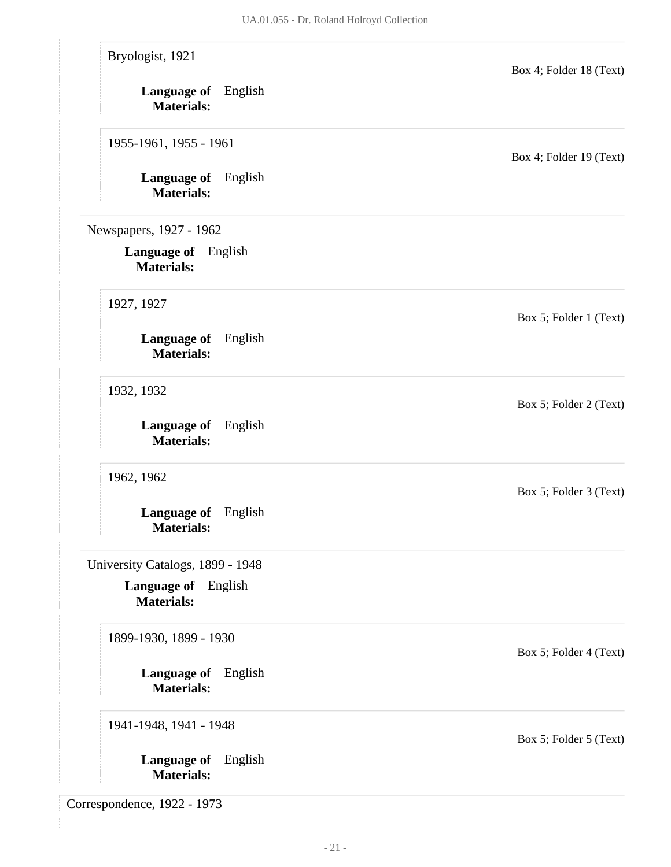<span id="page-21-0"></span>

| Bryologist, 1921                                |         | Box 4; Folder 18 (Text) |
|-------------------------------------------------|---------|-------------------------|
| Language of English<br><b>Materials:</b>        |         |                         |
| 1955-1961, 1955 - 1961                          |         | Box 4; Folder 19 (Text) |
| Language of English<br><b>Materials:</b>        |         |                         |
| Newspapers, 1927 - 1962                         |         |                         |
| <b>Language of</b> English<br><b>Materials:</b> |         |                         |
| 1927, 1927                                      |         | Box 5; Folder 1 (Text)  |
| Language of English<br><b>Materials:</b>        |         |                         |
| 1932, 1932                                      |         | Box 5; Folder 2 (Text)  |
| <b>Language of</b> English<br><b>Materials:</b> |         |                         |
| 1962, 1962                                      |         | Box 5; Folder 3 (Text)  |
| Language of English<br><b>Materials:</b>        |         |                         |
| University Catalogs, 1899 - 1948                |         |                         |
| Language of English<br><b>Materials:</b>        |         |                         |
| 1899-1930, 1899 - 1930                          |         | Box 5; Folder 4 (Text)  |
| Language of English<br><b>Materials:</b>        |         |                         |
| 1941-1948, 1941 - 1948                          |         | Box 5; Folder 5 (Text)  |
| Language of<br><b>Materials:</b>                | English |                         |

<span id="page-21-2"></span><span id="page-21-1"></span>Correspondence, 1922 - 1973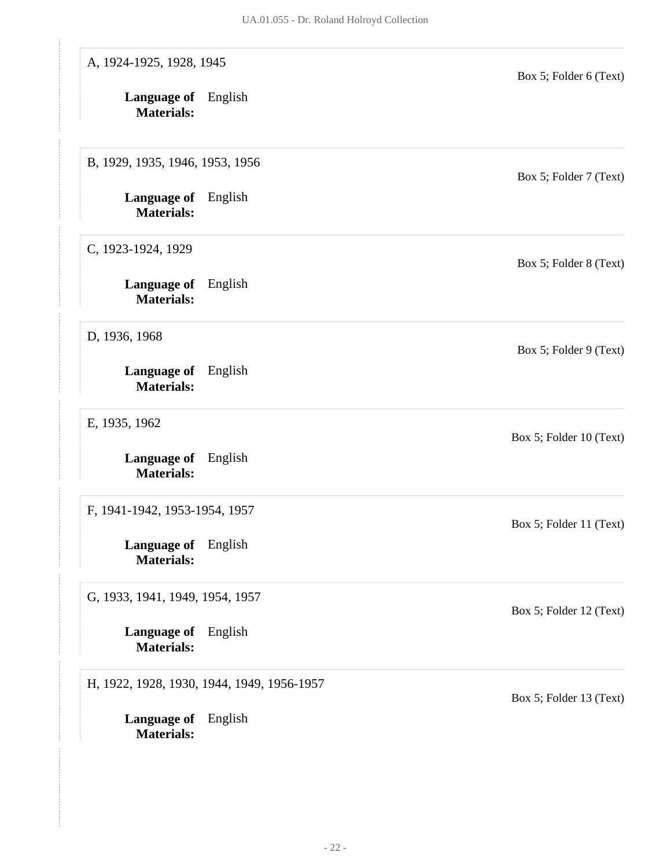| A, 1924-1925, 1928, 1945                        |                                            | Box 5; Folder 6 (Text)  |
|-------------------------------------------------|--------------------------------------------|-------------------------|
| <b>Language of</b> English<br><b>Materials:</b> |                                            |                         |
| B, 1929, 1935, 1946, 1953, 1956                 |                                            | Box 5; Folder 7 (Text)  |
| <b>Language of</b> English<br><b>Materials:</b> |                                            |                         |
| C, 1923-1924, 1929                              |                                            | Box 5; Folder 8 (Text)  |
| <b>Language of</b> English<br><b>Materials:</b> |                                            |                         |
| D, 1936, 1968                                   |                                            | Box 5; Folder 9 (Text)  |
| Language of English<br><b>Materials:</b>        |                                            |                         |
| E, 1935, 1962                                   |                                            | Box 5; Folder 10 (Text) |
| Language of English<br><b>Materials:</b>        |                                            |                         |
| F, 1941-1942, 1953-1954, 1957                   |                                            | Box 5; Folder 11 (Text) |
| Language of English<br><b>Materials:</b>        |                                            |                         |
| G, 1933, 1941, 1949, 1954, 1957                 |                                            | Box 5; Folder 12 (Text) |
| <b>Language of</b> English<br><b>Materials:</b> |                                            |                         |
|                                                 | H, 1922, 1928, 1930, 1944, 1949, 1956-1957 | Box 5; Folder 13 (Text) |
| Language of English<br><b>Materials:</b>        |                                            |                         |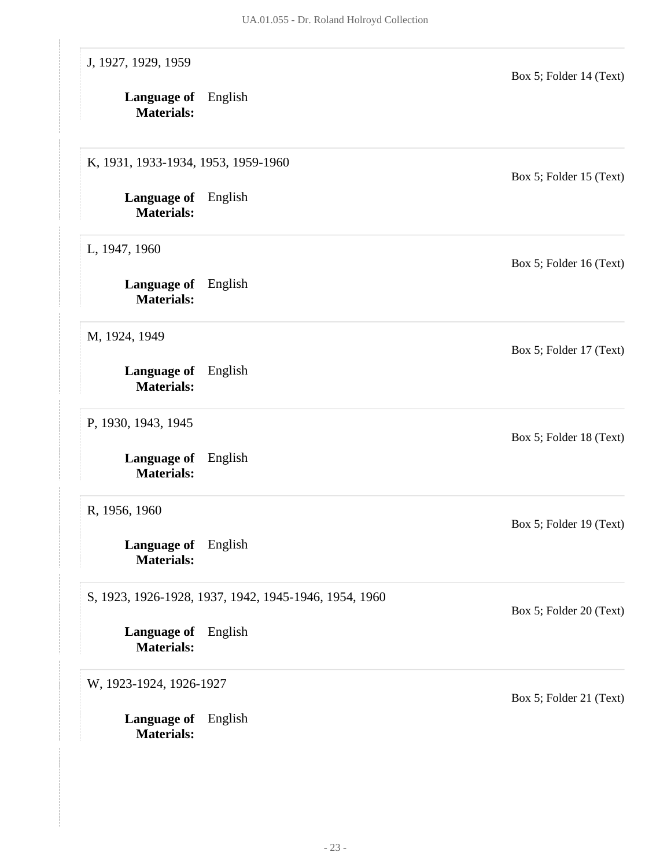| J, 1927, 1929, 1959                             |                                                       | Box 5; Folder 14 (Text) |
|-------------------------------------------------|-------------------------------------------------------|-------------------------|
| <b>Language of</b> English<br><b>Materials:</b> |                                                       |                         |
| K, 1931, 1933-1934, 1953, 1959-1960             |                                                       | Box 5; Folder 15 (Text) |
| <b>Language of</b> English<br><b>Materials:</b> |                                                       |                         |
| L, 1947, 1960                                   |                                                       | Box 5; Folder 16 (Text) |
| <b>Language of</b> English<br><b>Materials:</b> |                                                       |                         |
| M, 1924, 1949                                   |                                                       | Box 5; Folder 17 (Text) |
| Language of English<br><b>Materials:</b>        |                                                       |                         |
| P, 1930, 1943, 1945                             |                                                       | Box 5; Folder 18 (Text) |
| <b>Language of</b><br><b>Materials:</b>         | English                                               |                         |
| R, 1956, 1960                                   |                                                       | Box 5; Folder 19 (Text) |
| Language of English<br><b>Materials:</b>        |                                                       |                         |
|                                                 | S, 1923, 1926-1928, 1937, 1942, 1945-1946, 1954, 1960 | Box 5; Folder 20 (Text) |
| <b>Language of</b> English<br><b>Materials:</b> |                                                       |                         |
| W, 1923-1924, 1926-1927                         |                                                       | Box 5; Folder 21 (Text) |
| <b>Language of</b> English<br><b>Materials:</b> |                                                       |                         |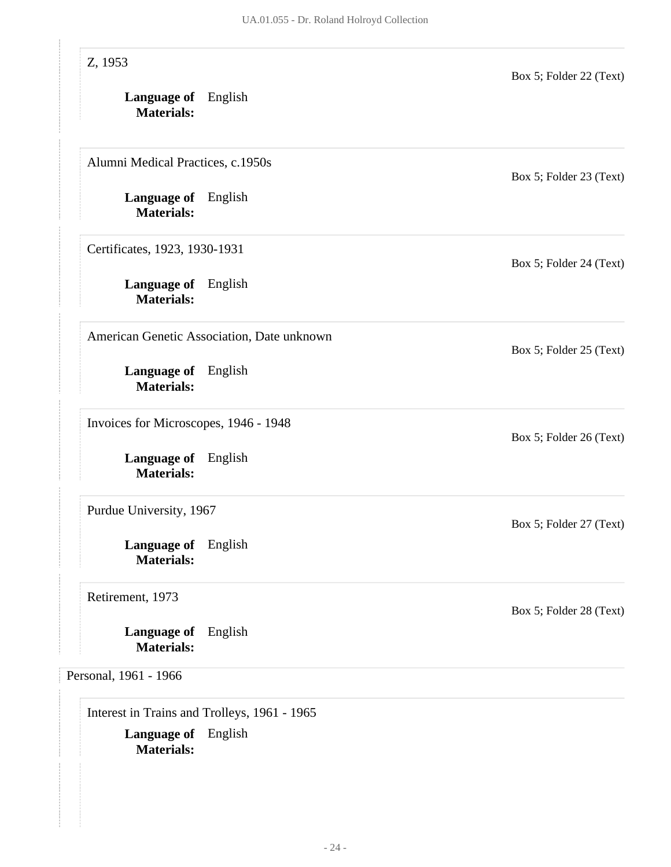| Z, 1953                                         |                                            | Box 5; Folder 22 (Text) |
|-------------------------------------------------|--------------------------------------------|-------------------------|
| <b>Language of</b> English<br><b>Materials:</b> |                                            |                         |
| Alumni Medical Practices, c.1950s               |                                            | Box 5; Folder 23 (Text) |
| <b>Language of</b> English<br><b>Materials:</b> |                                            |                         |
| Certificates, 1923, 1930-1931                   |                                            | Box 5; Folder 24 (Text) |
| <b>Language of</b> English<br><b>Materials:</b> |                                            |                         |
|                                                 | American Genetic Association, Date unknown | Box 5; Folder 25 (Text) |
| Language of English<br><b>Materials:</b>        |                                            |                         |
| Invoices for Microscopes, 1946 - 1948           |                                            | Box 5; Folder 26 (Text) |
| <b>Language of</b><br><b>Materials:</b>         | English                                    |                         |
| Purdue University, 1967                         |                                            | Box 5; Folder 27 (Text) |
| Language of English<br><b>Materials:</b>        |                                            |                         |
| Retirement, 1973                                |                                            | Box 5; Folder 28 (Text) |
| Language of<br><b>Materials:</b>                | English                                    |                         |
| Personal, 1961 - 1966                           |                                            |                         |

<span id="page-24-1"></span><span id="page-24-0"></span>**Language of** English **Materials:**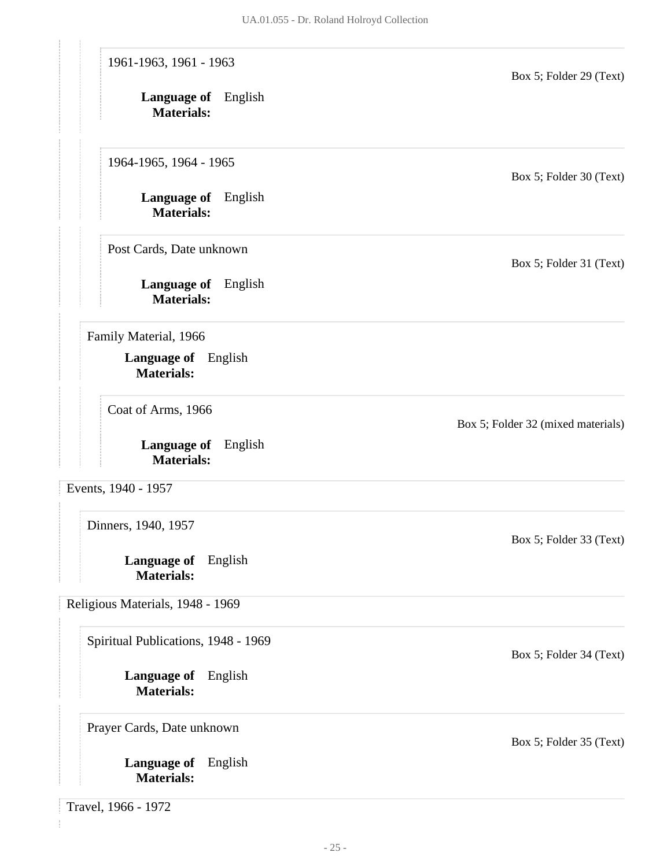<span id="page-25-3"></span><span id="page-25-2"></span><span id="page-25-1"></span><span id="page-25-0"></span>**Language of** English **Materials: Language of** English **Materials: Language of** English **Materials: Language of** English **Materials: Language of** English **Materials: Language of** English **Materials: Language of** English **Materials: Language of** English **Materials:** 1961-1963, 1961 - 1963 Box 5; Folder 29 (Text) 1964-1965, 1964 - 1965 Box 5; Folder 30 (Text) Post Cards, Date unknown Box 5; Folder 31 (Text) Family Material, 1966 Coat of Arms, 1966 Box 5; Folder 32 (mixed materials) Events, 1940 - 1957 Dinners, 1940, 1957 Box 5; Folder 33 (Text) Religious Materials, 1948 - 1969 Spiritual Publications, 1948 - 1969 Box 5; Folder 34 (Text) Prayer Cards, Date unknown Box 5; Folder 35 (Text) Travel, 1966 - 1972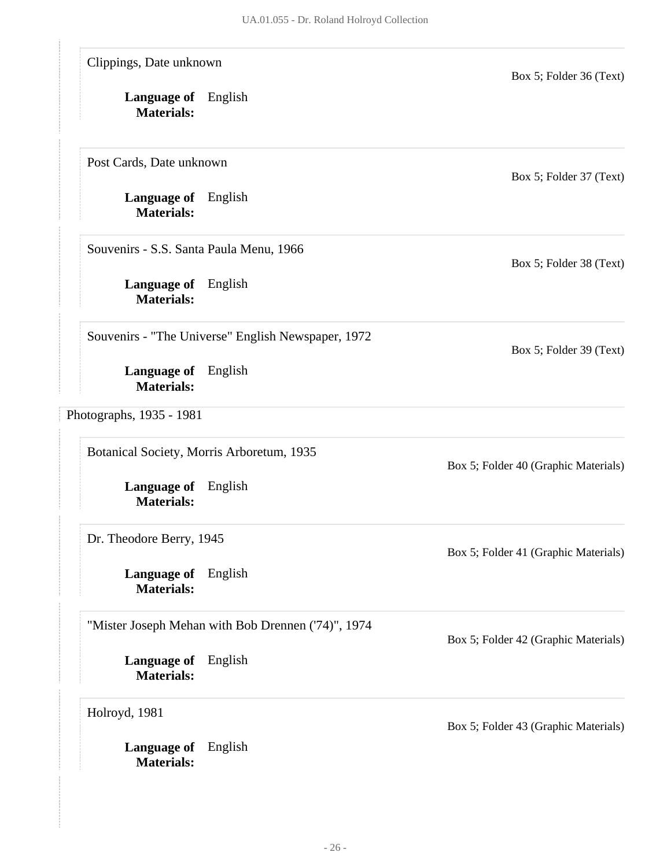<span id="page-26-0"></span>

| Clippings, Date unknown                         |                                                    | Box 5; Folder 36 (Text)              |
|-------------------------------------------------|----------------------------------------------------|--------------------------------------|
| Language of English<br><b>Materials:</b>        |                                                    |                                      |
| Post Cards, Date unknown                        |                                                    | Box 5; Folder 37 (Text)              |
| <b>Language of</b> English<br><b>Materials:</b> |                                                    |                                      |
| Souvenirs - S.S. Santa Paula Menu, 1966         |                                                    | Box 5; Folder 38 (Text)              |
| <b>Language of</b> English<br><b>Materials:</b> |                                                    |                                      |
|                                                 | Souvenirs - "The Universe" English Newspaper, 1972 | Box 5; Folder 39 (Text)              |
| Language of English<br><b>Materials:</b>        |                                                    |                                      |
| Photographs, 1935 - 1981                        |                                                    |                                      |
|                                                 | Botanical Society, Morris Arboretum, 1935          | Box 5; Folder 40 (Graphic Materials) |
| <b>Language of</b> English<br><b>Materials:</b> |                                                    |                                      |
| Dr. Theodore Berry, 1945                        |                                                    | Box 5; Folder 41 (Graphic Materials) |
| Language of<br><b>Materials:</b>                | English                                            |                                      |
|                                                 | "Mister Joseph Mehan with Bob Drennen ('74)", 1974 | Box 5; Folder 42 (Graphic Materials) |
| Language of<br><b>Materials:</b>                | English                                            |                                      |
| Holroyd, 1981                                   |                                                    | Box 5; Folder 43 (Graphic Materials) |
| <b>Language of</b><br><b>Materials:</b>         | English                                            |                                      |